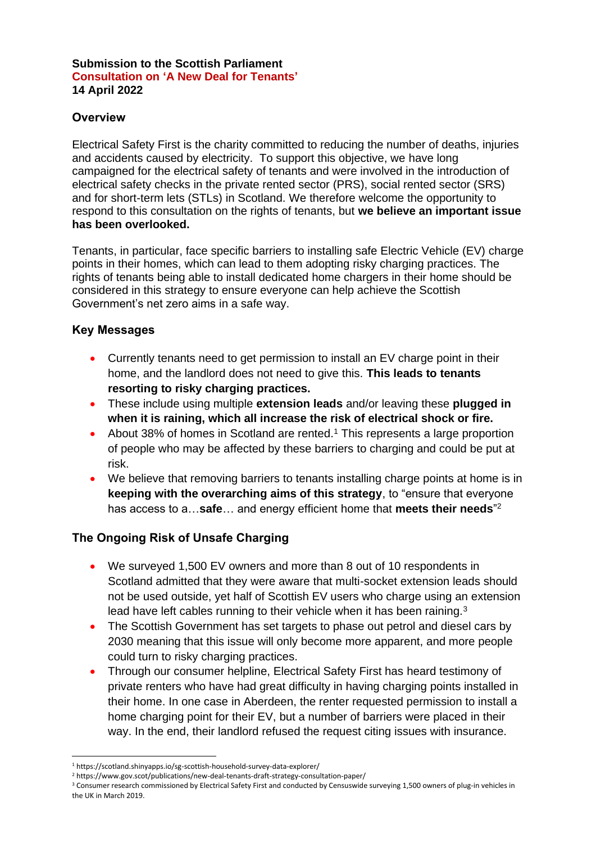#### **Submission to the Scottish Parliament Consultation on 'A New Deal for Tenants' 14 April 2022**

## **Overview**

Electrical Safety First is the charity committed to reducing the number of deaths, injuries and accidents caused by electricity. To support this objective, we have long campaigned for the electrical safety of tenants and were involved in the introduction of electrical safety checks in the private rented sector (PRS), social rented sector (SRS) and for short-term lets (STLs) in Scotland. We therefore welcome the opportunity to respond to this consultation on the rights of tenants, but **we believe an important issue has been overlooked.**

Tenants, in particular, face specific barriers to installing safe Electric Vehicle (EV) charge points in their homes, which can lead to them adopting risky charging practices. The rights of tenants being able to install dedicated home chargers in their home should be considered in this strategy to ensure everyone can help achieve the Scottish Government's net zero aims in a safe way.

#### **Key Messages**

- Currently tenants need to get permission to install an EV charge point in their home, and the landlord does not need to give this. **This leads to tenants resorting to risky charging practices.**
- These include using multiple **extension leads** and/or leaving these **plugged in when it is raining, which all increase the risk of electrical shock or fire.**
- About 38% of homes in Scotland are rented.<sup>1</sup> This represents a large proportion of people who may be affected by these barriers to charging and could be put at risk.
- We believe that removing barriers to tenants installing charge points at home is in **keeping with the overarching aims of this strategy**, to "ensure that everyone has access to a…**safe**… and energy efficient home that **meets their needs**" 2

# **The Ongoing Risk of Unsafe Charging**

- We surveyed 1,500 EV owners and more than 8 out of 10 respondents in Scotland admitted that they were aware that multi-socket extension leads should not be used outside, yet half of Scottish EV users who charge using an extension lead have left cables running to their vehicle when it has been raining.<sup>3</sup>
- The Scottish Government has set targets to phase out petrol and diesel cars by 2030 meaning that this issue will only become more apparent, and more people could turn to risky charging practices.
- Through our consumer helpline, Electrical Safety First has heard testimony of private renters who have had great difficulty in having charging points installed in their home. In one case in Aberdeen, the renter requested permission to install a home charging point for their EV, but a number of barriers were placed in their way. In the end, their landlord refused the request citing issues with insurance.

<sup>1</sup> https://scotland.shinyapps.io/sg-scottish-household-survey-data-explorer/

<sup>2</sup> https://www.gov.scot/publications/new-deal-tenants-draft-strategy-consultation-paper/

<sup>&</sup>lt;sup>3</sup> Consumer research commissioned by Electrical Safety First and conducted by Censuswide surveying 1,500 owners of plug-in vehicles in the UK in March 2019.